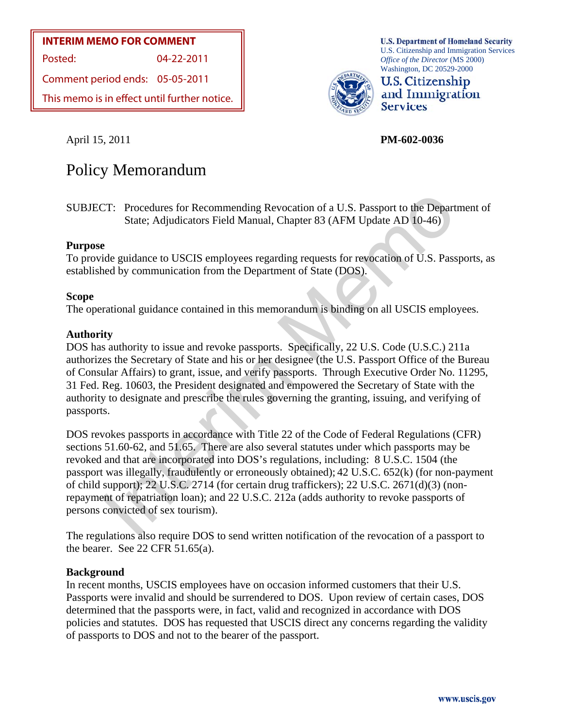#### **INTERIM MEMO FOR COMMENT**

Posted: 04-22-2011

Comment period ends: 05-05-2011

This memo is in effect until further notice.



**U.S. Department of Homeland Security** U.S. Citizenship and Immigration Services *Office of the Director* (MS 2000) Washington, DC 20529-2000



April 15, 2011 **PM-602-0036** 

# Policy Memorandum

SUBJECT: Procedures for Recommending Revocation of a U.S. Passport to the Department of State; Adjudicators Field Manual, Chapter 83 (AFM Update AD 10-46)

#### **Purpose**

To provide guidance to USCIS employees regarding requests for revocation of U.S. Passports, as established by communication from the Department of State (DOS).

#### **Scope**

The operational guidance contained in this memorandum is binding on all USCIS employees.

#### **Authority**

DOS has authority to issue and revoke passports. Specifically, 22 U.S. Code (U.S.C.) 211a authorizes the Secretary of State and his or her designee (the U.S. Passport Office of the Bureau of Consular Affairs) to grant, issue, and verify passports. Through Executive Order No. 11295, 31 Fed. Reg. 10603, the President designated and empowered the Secretary of State with the authority to designate and prescribe the rules governing the granting, issuing, and verifying of passports.

TI: Procedures for Recommending Revocation of a U.S. Passport to the Depart<br>
State; Adjudicators Field Manual, Chapter 83 (AFM Update AD 10-46)<br>
Paide guidance to USCIS employees regarding requests for revocation of U.S. DOS revokes passports in accordance with Title 22 of the Code of Federal Regulations (CFR) sections 51.60-62, and 51.65. There are also several statutes under which passports may be revoked and that are incorporated into DOS's regulations, including: 8 U.S.C. 1504 (the passport was illegally, fraudulently or erroneously obtained); 42 U.S.C. 652(k) (for non-payment of child support); 22 U.S.C. 2714 (for certain drug traffickers); 22 U.S.C. 2671(d)(3) (nonrepayment of repatriation loan); and 22 U.S.C. 212a (adds authority to revoke passports of persons convicted of sex tourism).

The regulations also require DOS to send written notification of the revocation of a passport to the bearer. See 22 CFR 51.65(a).

#### **Background**

In recent months, USCIS employees have on occasion informed customers that their U.S. Passports were invalid and should be surrendered to DOS. Upon review of certain cases, DOS determined that the passports were, in fact, valid and recognized in accordance with DOS policies and statutes. DOS has requested that USCIS direct any concerns regarding the validity of passports to DOS and not to the bearer of the passport.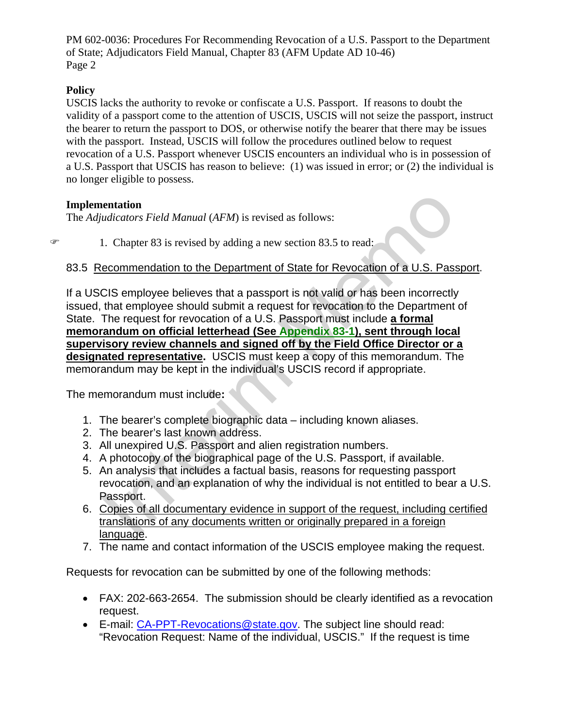## **Policy**

USCIS lacks the authority to revoke or confiscate a U.S. Passport. If reasons to doubt the validity of a passport come to the attention of USCIS, USCIS will not seize the passport, instruct the bearer to return the passport to DOS, or otherwise notify the bearer that there may be issues with the passport. Instead, USCIS will follow the procedures outlined below to request revocation of a U.S. Passport whenever USCIS encounters an individual who is in possession of a U.S. Passport that USCIS has reason to believe: (1) was issued in error; or (2) the individual is no longer eligible to possess.

## **Implementation**

The *Adjudicators Field Manual* (*AFM*) is revised as follows:

 $\degree$  1. Chapter 83 is revised by adding a new section 83.5 to read:

## 83.5 Recommendation to the Department of State for Revocation of a U.S. Passport.

**entation**<br>
I. Chapter Si is revised by adding a new section 83.5 to read:<br>
I. Chapter 83 is revised by adding a new section 83.5 to read:<br> **ecommendation to the Department of State for Revocation of a U.S. Pass**<br>
CIS empl If a USCIS employee believes that a passport is not valid or has been incorrectly issued, that employee should submit a request for revocation to the Department of State. The request for revocation of a U.S. Passport must include **a formal memorandum on official letterhead (See Appendix 83-1), sent through local supervisory review channels and signed off by the Field Office Director or a designated representative.** USCIS must keep a copy of this memorandum. The memorandum may be kept in the individual's USCIS record if appropriate.

The memorandum must include**:**

- 1. The bearer's complete biographic data including known aliases.
- 2. The bearer's last known address.
- 3. All unexpired U.S. Passport and alien registration numbers.
- 4. A photocopy of the biographical page of the U.S. Passport, if available.
- 5. An analysis that includes a factual basis, reasons for requesting passport revocation, and an explanation of why the individual is not entitled to bear a U.S. Passport.
- 6. Copies of all documentary evidence in support of the request, including certified translations of any documents written or originally prepared in a foreign language.
- 7. The name and contact information of the USCIS employee making the request.

Requests for revocation can be submitted by one of the following methods:

- FAX: 202-663-2654. The submission should be clearly identified as a revocation request.
- E-mail: [CA-PPT-Revocations@state.gov](mailto:CA-PPT-Revocations@state.gov). The subject line should read: "Revocation Request: Name of the individual, USCIS." If the request is time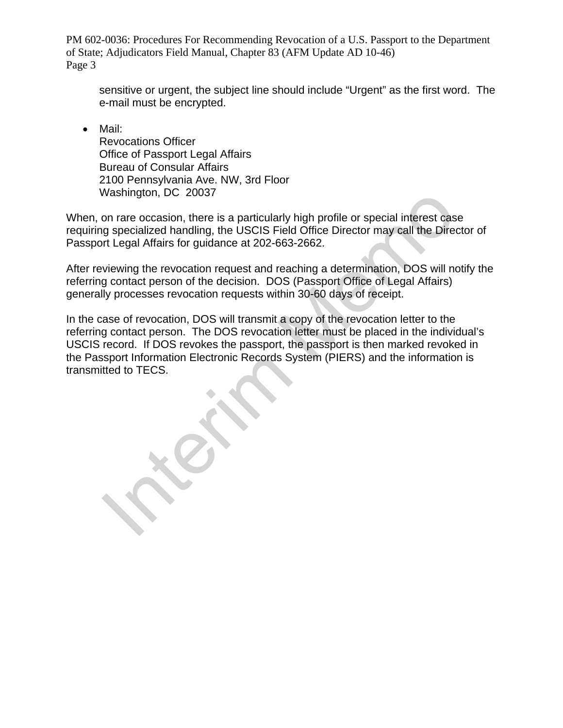sensitive or urgent, the subject line should include "Urgent" as the first word. The e-mail must be encrypted.

• Mail: Revocations Officer Office of Passport Legal Affairs Bureau of Consular Affairs 2100 Pennsylvania Ave. NW, 3rd Floor Washington, DC 20037

When, on rare occasion, there is a particularly high profile or special interest case requiring specialized handling, the USCIS Field Office Director may call the Director of Passport Legal Affairs for guidance at 202-663-2662.

After reviewing the revocation request and reaching a determination, DOS will notify the referring contact person of the decision. DOS (Passport Office of Legal Affairs) generally processes revocation requests within 30-60 days of receipt.

Mashington, DC 20037<br>
on rare occasion, there is a particularly high profile or special interest case<br>
of specialized handling, the USCIS Field Office Director may call the Director<br>
of the gala Affairs for guidance at 202 In the case of revocation, DOS will transmit a copy of the revocation letter to the referring contact person. The DOS revocation letter must be placed in the individual's USCIS record. If DOS revokes the passport, the passport is then marked revoked in the Passport Information Electronic Records System (PIERS) and the information is transmitted to TECS.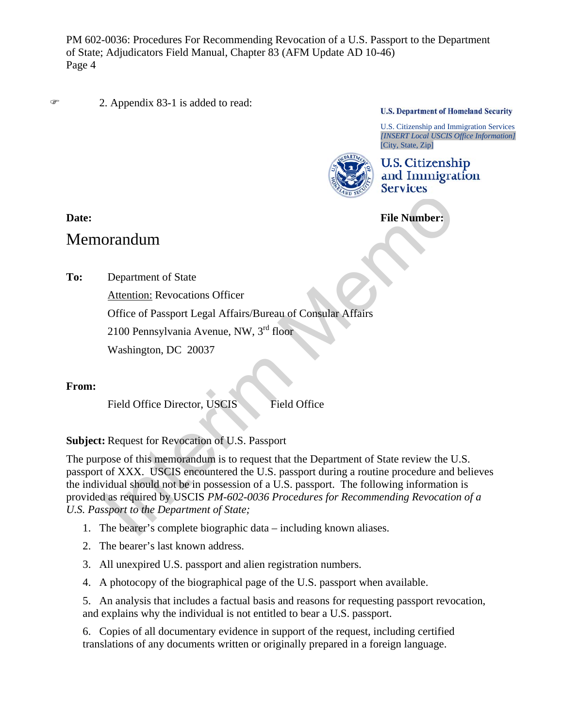2. Appendix 83-1 is added to read:

**U.S. Department of Homeland Security** 

U.S. Citizenship and Immigration Services *[INSERT Local USCIS Office Information]* [City, State, Zip]



**U.S. Citizenship** and Immigration

**Date:** File Number:

## Memorandum

**To:** Department of State

Attention: Revocations Officer Office of Passport Legal Affairs/Bureau of Consular Affairs 2100 Pennsylvania Avenue, NW, 3rd floor Washington, DC 20037

## **From:**

Field Office Director, USCIS Field Office

**Subject:** Request for Revocation of U.S. Passport

File Number:<br>
File Number:<br>
Department of State<br>
Attention: Revocations Officer<br>
Office of Passport Legal Affairs/Bureau of Consular Affairs<br>
2100 Pennsylvania Avenue, NW, 3<sup>rd</sup> floor<br>
Washington, DC 20037<br>
Tield Office D The purpose of this memorandum is to request that the Department of State review the U.S. passport of XXX. USCIS encountered the U.S. passport during a routine procedure and believes the individual should not be in possession of a U.S. passport. The following information is provided as required by USCIS *PM-602-0036 Procedures for Recommending Revocation of a U.S. Passport to the Department of State;* 

- 1. The bearer's complete biographic data including known aliases.
- 2. The bearer's last known address.
- 3. All unexpired U.S. passport and alien registration numbers.
- 4. A photocopy of the biographical page of the U.S. passport when available.

5. An analysis that includes a factual basis and reasons for requesting passport revocation, and explains why the individual is not entitled to bear a U.S. passport.

6. Copies of all documentary evidence in support of the request, including certified translations of any documents written or originally prepared in a foreign language.